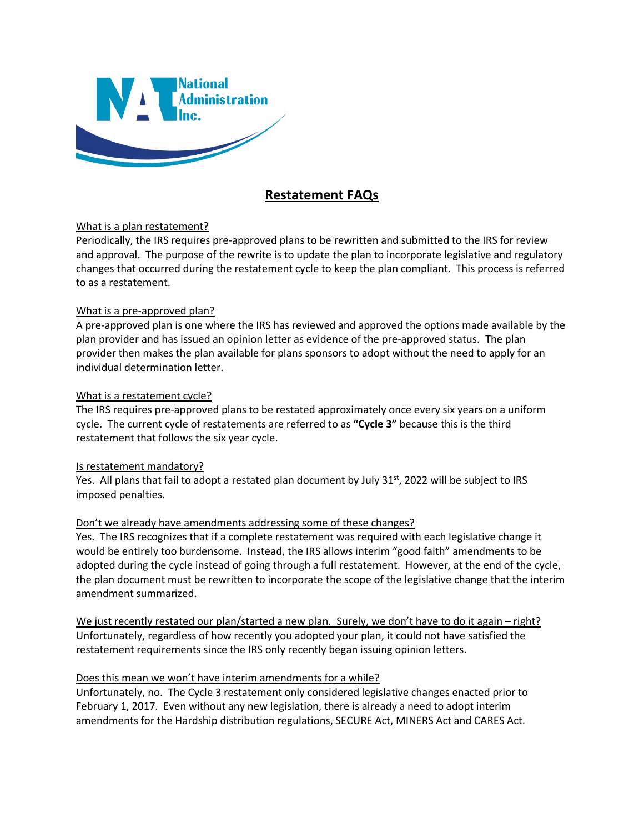

# **Restatement FAQs**

### What is a plan restatement?

Periodically, the IRS requires pre-approved plans to be rewritten and submitted to the IRS for review and approval. The purpose of the rewrite is to update the plan to incorporate legislative and regulatory changes that occurred during the restatement cycle to keep the plan compliant. This process is referred to as a restatement.

### What is a pre-approved plan?

A pre-approved plan is one where the IRS has reviewed and approved the options made available by the plan provider and has issued an opinion letter as evidence of the pre-approved status. The plan provider then makes the plan available for plans sponsors to adopt without the need to apply for an individual determination letter.

### What is a restatement cycle?

The IRS requires pre-approved plans to be restated approximately once every six years on a uniform cycle. The current cycle of restatements are referred to as **"Cycle 3"** because this is the third restatement that follows the six year cycle.

### Is restatement mandatory?

Yes. All plans that fail to adopt a restated plan document by July 31<sup>st</sup>, 2022 will be subject to IRS imposed penalties.

## Don't we already have amendments addressing some of these changes?

Yes. The IRS recognizes that if a complete restatement was required with each legislative change it would be entirely too burdensome. Instead, the IRS allows interim "good faith" amendments to be adopted during the cycle instead of going through a full restatement. However, at the end of the cycle, the plan document must be rewritten to incorporate the scope of the legislative change that the interim amendment summarized.

We just recently restated our plan/started a new plan. Surely, we don't have to do it again – right? Unfortunately, regardless of how recently you adopted your plan, it could not have satisfied the restatement requirements since the IRS only recently began issuing opinion letters.

### Does this mean we won't have interim amendments for a while?

Unfortunately, no. The Cycle 3 restatement only considered legislative changes enacted prior to February 1, 2017. Even without any new legislation, there is already a need to adopt interim amendments for the Hardship distribution regulations, SECURE Act, MINERS Act and CARES Act.